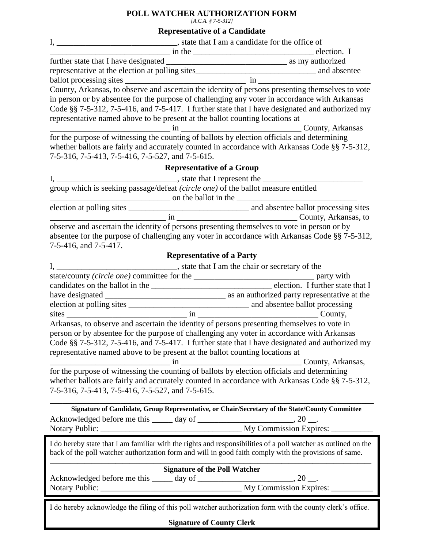## **POLL WATCHER AUTHORIZATION FORM**

*[A.C.A. § 7-5-312]*

## **Representative of a Candidate**

| in person or by absentee for the purpose of challenging any voter in accordance with Arkansas<br>Code §§ 7-5-312, 7-5-416, and 7-5-417. I further state that I have designated and authorized my<br>representative named above to be present at the ballot counting locations at                                                                                                                                            |  |  |
|-----------------------------------------------------------------------------------------------------------------------------------------------------------------------------------------------------------------------------------------------------------------------------------------------------------------------------------------------------------------------------------------------------------------------------|--|--|
| The purpose of witnessing the counting of ballots by election officials and determining<br>whether ballots are fairly and accurately counted in accordance with Arkansas Code §§ 7-5-312,<br>7-5-316, 7-5-413, 7-5-416, 7-5-527, and 7-5-615.                                                                                                                                                                               |  |  |
| <b>Representative of a Group</b>                                                                                                                                                                                                                                                                                                                                                                                            |  |  |
|                                                                                                                                                                                                                                                                                                                                                                                                                             |  |  |
| group which is seeking passage/defeat (circle one) of the ballot measure entitled<br>on the ballot in the                                                                                                                                                                                                                                                                                                                   |  |  |
|                                                                                                                                                                                                                                                                                                                                                                                                                             |  |  |
| $\frac{1}{2}$ in $\frac{1}{2}$ county, Arkansas, to                                                                                                                                                                                                                                                                                                                                                                         |  |  |
| observe and ascertain the identity of persons presenting themselves to vote in person or by<br>absentee for the purpose of challenging any voter in accordance with Arkansas Code §§ 7-5-312,<br>7-5-416, and 7-5-417.                                                                                                                                                                                                      |  |  |
| <b>Representative of a Party</b>                                                                                                                                                                                                                                                                                                                                                                                            |  |  |
|                                                                                                                                                                                                                                                                                                                                                                                                                             |  |  |
|                                                                                                                                                                                                                                                                                                                                                                                                                             |  |  |
|                                                                                                                                                                                                                                                                                                                                                                                                                             |  |  |
|                                                                                                                                                                                                                                                                                                                                                                                                                             |  |  |
| Arkansas, to observe and ascertain the identity of persons presenting themselves to vote in<br>person or by absentee for the purpose of challenging any voter in accordance with Arkansas<br>Code §§ 7-5-312, 7-5-416, and 7-5-417. I further state that I have designated and authorized my<br>representative named above to be present at the ballot counting locations at<br>County, Arkansas,<br>$\sin \frac{\pi x}{2}$ |  |  |
| for the purpose of witnessing the counting of ballots by election officials and determining<br>whether ballots are fairly and accurately counted in accordance with Arkansas Code §§ 7-5-312,<br>7-5-316, 7-5-413, 7-5-416, 7-5-527, and 7-5-615.                                                                                                                                                                           |  |  |
| Signature of Candidate, Group Representative, or Chair/Secretary of the State/County Committee                                                                                                                                                                                                                                                                                                                              |  |  |
| I do hereby state that I am familiar with the rights and responsibilities of a poll watcher as outlined on the<br>back of the poll watcher authorization form and will in good faith comply with the provisions of same.                                                                                                                                                                                                    |  |  |
| <b>Signature of the Poll Watcher</b>                                                                                                                                                                                                                                                                                                                                                                                        |  |  |
| I do hereby acknowledge the filing of this poll watcher authorization form with the county clerk's office.                                                                                                                                                                                                                                                                                                                  |  |  |
| <b>Signature of County Clerk</b>                                                                                                                                                                                                                                                                                                                                                                                            |  |  |